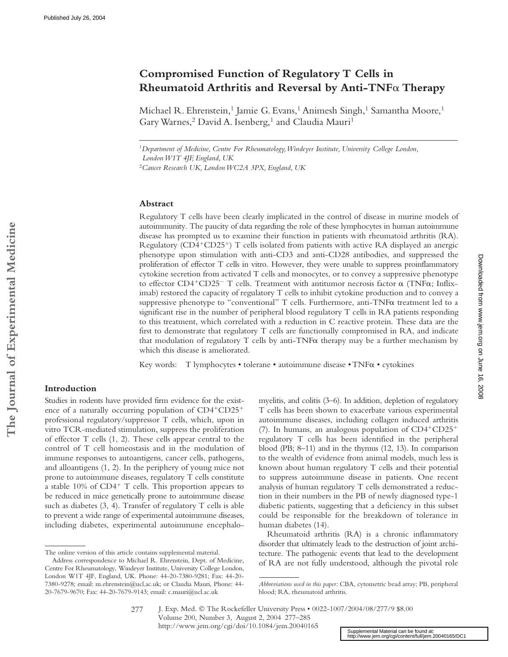# **Compromised Function of Regulatory T Cells in Rheumatoid Arthritis and Reversal by Anti-TNF Therapy**

Michael R. Ehrenstein,<sup>1</sup> Jamie G. Evans,<sup>1</sup> Animesh Singh,<sup>1</sup> Samantha Moore,<sup>1</sup> Gary Warnes,<sup>2</sup> David A. Isenberg,<sup>1</sup> and Claudia Mauri<sup>1</sup>

<sup>1</sup>*Department of Medicine, Centre For Rheumatology, Windeyer Institute, University College London, London W1T 4JF, England, UK*

<sup>2</sup>*Cancer Research UK, London WC2A 3PX, England, UK*

## **Abstract**

Regulatory T cells have been clearly implicated in the control of disease in murine models of autoimmunity. The paucity of data regarding the role of these lymphocytes in human autoimmune disease has prompted us to examine their function in patients with rheumatoid arthritis (RA). Regulatory (CD4+CD25+) T cells isolated from patients with active RA displayed an anergic phenotype upon stimulation with anti-CD3 and anti-CD28 antibodies, and suppressed the proliferation of effector T cells in vitro. However, they were unable to suppress proinflammatory cytokine secretion from activated T cells and monocytes, or to convey a suppressive phenotype to effector CD4+CD25- T cells. Treatment with antitumor necrosis factor  $\alpha$  (TNF $\alpha$ ; Infliximab) restored the capacity of regulatory T cells to inhibit cytokine production and to convey a suppressive phenotype to "conventional"  $T$  cells. Furthermore, anti-TNF $\alpha$  treatment led to a significant rise in the number of peripheral blood regulatory T cells in RA patients responding to this treatment, which correlated with a reduction in C reactive protein. These data are the first to demonstrate that regulatory T cells are functionally compromised in RA, and indicate that modulation of regulatory  $T$  cells by anti-TNF $\alpha$  therapy may be a further mechanism by which this disease is ameliorated.

Key words: T lymphocytes • tolerane • autoimmune disease • TNF $\alpha$  • cytokines

## **Introduction**

**The Journal of Experimental Medicine**

The Journal of Experimental Medicine

Studies in rodents have provided firm evidence for the existence of a naturally occurring population of CD4+CD25+ professional regulatory/suppressor T cells, which, upon in vitro TCR-mediated stimulation, suppress the proliferation of effector T cells (1, 2). These cells appear central to the control of T cell homeostasis and in the modulation of immune responses to autoantigens, cancer cells, pathogens, and alloantigens (1, 2). In the periphery of young mice not prone to autoimmune diseases, regulatory T cells constitute a stable 10% of CD4<sup>+</sup> T cells. This proportion appears to be reduced in mice genetically prone to autoimmune disease such as diabetes (3, 4). Transfer of regulatory T cells is able to prevent a wide range of experimental autoimmune diseases, including diabetes, experimental autoimmune encephalomyelitis, and colitis (3–6). In addition, depletion of regulatory T cells has been shown to exacerbate various experimental autoimmune diseases, including collagen induced arthritis (7). In humans, an analogous population of CD4-CD25 regulatory T cells has been identified in the peripheral blood (PB; 8–11) and in the thymus (12, 13). In comparison to the wealth of evidence from animal models, much less is known about human regulatory T cells and their potential to suppress autoimmune disease in patients. One recent analysis of human regulatory T cells demonstrated a reduction in their numbers in the PB of newly diagnosed type-1 diabetic patients, suggesting that a deficiency in this subset could be responsible for the breakdown of tolerance in human diabetes (14).

Rheumatoid arthritis (RA) is a chronic inflammatory disorder that ultimately leads to the destruction of joint architecture. The pathogenic events that lead to the development of RA are not fully understood, although the pivotal role

J. Exp. Med. © The Rockefeller University Press • 0022-1007/2004/08/277/9 \$8.00 Volume 200, Number 3, August 2, 2004 277–285 http://www.jem.org/cgi/doi/10.1084/jem.20040165

Supplemental Material can be found at:<br><http://www.jem.org/cgi/content/full/jem.20040165/DC1>

277

The online version of this article contains supplemental material.

Address correspondence to Michael R. Ehrenstein, Dept. of Medicine, Centre For Rheumatology, Windeyer Institute, University College London, London W1T 4JF, England, UK. Phone: 44-20-7380-9281; Fax: 44-20- 7380-9278; email: m.ehrenstein@ucl.ac.uk; or Claudia Mauri, Phone: 44- 20-7679-9670; Fax: 44-20-7679-9143; email: c.mauri@ucl.ac.uk

*Abbreviations used in this paper:* CBA, cytometric bead array; PB, peripheral blood; RA, rheumatoid arthritis.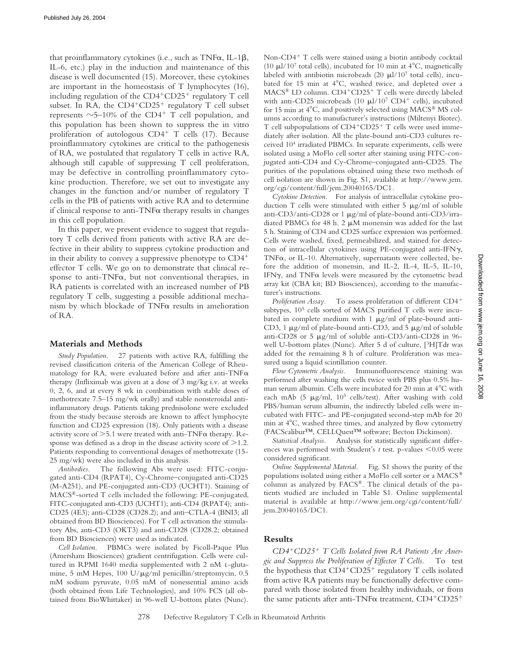that proinflammatory cytokines (i.e., such as  $TNF\alpha$ , IL-1 $\beta$ , IL-6, etc.) play in the induction and maintenance of this disease is well documented (15). Moreover, these cytokines are important in the homeostasis of T lymphocytes (16), including regulation of the CD4<sup>+</sup>CD25<sup>+</sup> regulatory T cell subset. In RA, the CD4<sup>+</sup>CD25<sup>+</sup> regulatory T cell subset represents  $\sim$  5–10% of the CD4<sup>+</sup> T cell population, and this population has been shown to suppress the in vitro proliferation of autologous CD4<sup>+</sup> T cells (17). Because proinflammatory cytokines are critical to the pathogenesis of RA, we postulated that regulatory T cells in active RA, although still capable of suppressing T cell proliferation, may be defective in controlling proinflammatory cytokine production. Therefore, we set out to investigate any changes in the function and/or number of regulatory T cells in the PB of patients with active RA and to determine if clinical response to anti- $TNF\alpha$  therapy results in changes in this cell population.

In this paper, we present evidence to suggest that regulatory T cells derived from patients with active RA are defective in their ability to suppress cytokine production and in their ability to convey a suppressive phenotype to  $CD4^+$ effector T cells. We go on to demonstrate that clinical response to anti-TNF $\alpha$ , but not conventional therapies, in RA patients is correlated with an increased number of PB regulatory T cells, suggesting a possible additional mechanism by which blockade of  $TNF\alpha$  results in amelioration of RA.

#### **Materials and Methods**

*Study Population.* 27 patients with active RA, fulfilling the revised classification criteria of the American College of Rheumatology for RA, were evaluated before and after anti-TNF $\alpha$ therapy (Infliximab was given at a dose of 3 mg/kg i.v. at weeks 0, 2, 6, and at every 8 wk in combination with stable doses of methotrexate 7.5–15 mg/wk orally) and stable nonsteroidal antiinflammatory drugs. Patients taking prednisolone were excluded from the study because steroids are known to affect lymphocyte function and CD25 expression (18). Only patients with a disease activity score of  $>5.1$  were treated with anti-TNF $\alpha$  therapy. Response was defined as a drop in the disease activity score of  $>1.2$ . Patients responding to conventional dosages of methotrexate (15- 25 mg/wk) were also included in this analysis.

*Antibodies.* The following Abs were used: FITC-conjugated anti-CD4 (RPAT4), Cy-Chrome–conjugated anti-CD25 (M-A251), and PE-conjugated anti-CD3 (UCHT1). Staining of MACS®-sorted T cells included the following: PE-conjugated, FITC-conjugated anti-CD3 (UCHT1); anti-CD4 (RPAT4); anti-CD25 (4E3); anti-CD28 (CD28.2); and anti–CTLA-4 (BNI3; all obtained from BD Biosciences). For T cell activation the stimulatory Abs, anti-CD3 (OKT3) and anti-CD28 (CD28.2; obtained from BD Biosciences) were used as indicated.

*Cell Isolation.* PBMCs were isolated by Ficoll-Paque Plus (Amersham Biosciences) gradient centrifugation. Cells were cultured in RPMI 1640 media supplemented with 2 nM L-glutamine, 5 mM Hepes, 100 U/ $\mu$ g/ml penicillin/streptomycin, 0.5 mM sodium pyruvate, 0.05 mM of nonessential amino acids (both obtained from Life Technologies), and 10% FCS (all obtained from BioWhittaker) in 96-well U-bottom plates (Nunc).

Non-CD4<sup>+</sup> T cells were stained using a biotin antibody cocktail (10  $\mu$ l/10<sup>7</sup> total cells), incubated for 10 min at 4<sup>o</sup>C, magnetically labeled with antibiotin microbeads  $(20 \mu l/10^7 \text{ total cells})$ , incubated for 15 min at  $4^{\circ}$ C, washed twice, and depleted over a MACS® LD column. CD4<sup>+</sup>CD25<sup>+</sup> T cells were directly labeled with anti-CD25 microbeads (10  $\mu$ l/10<sup>7</sup> CD4<sup>+</sup> cells), incubated for 15 min at  $4^{\circ}$ C, and positively selected using MACS® MS columns according to manufacturer's instructions (Miltenyi Biotec). T cell subpopulations of CD4+CD25+ T cells were used immediately after isolation. All the plate-bound anti-CD3 cultures received 104 irradiated PBMCs. In separate experiments, cells were isolated using a MoFlo cell sorter after staining using FITC-conjugated anti-CD4 and Cy-Chrome–conjugated anti-CD25. The purities of the populations obtained using these two methods of cell isolation are shown in Fig. S1, available at http://www.jem. org/cgi/content/full/jem.20040165/DC1.

*Cytokine Detection.* For analysis of intracellular cytokine production T cells were stimulated with either  $5 \mu g/ml$  of soluble anti-CD3/anti-CD28 or 1  $\mu$ g/ml of plate-bound anti-CD3/irradiated PBMCs for 48 h. 2  $\mu$ M monensin was added for the last 5 h. Staining of CD4 and CD25 surface expression was performed. Cells were washed, fixed, permeabilized, and stained for detection of intracellular cytokines using PE-conjugated anti-IFN $\gamma$ , TNF $\alpha$ , or IL-10. Alternatively, supernatants were collected, before the addition of monensin, and IL-2, IL-4, IL-5, IL-10, IFN $\gamma$ , and TNF $\alpha$  levels were measured by the cytometric bead array kit (CBA kit; BD Biosciences), according to the manufacturer's instructions.

*Proliferation Assay.* To assess proliferation of different CD4 subtypes,  $10<sup>5</sup>$  cells sorted of MACS purified T cells were incubated in complete medium with 1  $\mu$ g/ml of plate-bound anti-CD3, 1  $\mu$ g/ml of plate-bound anti-CD3, and 5  $\mu$ g/ml of soluble anti-CD28 or 5  $\mu$ g/ml of soluble anti-CD3/anti-CD28 in 96well U-bottom plates (Nunc). After 5 d of culture, [<sup>3</sup>H]Tdr was added for the remaining 8 h of culture. Proliferation was measured using a liquid scintillation counter.

*Flow Cytometric Analysis.* Immunofluorescence staining was performed after washing the cells twice with PBS plus 0.5% human serum albumin. Cells were incubated for 20 min at 4°C with each mAb (5  $\mu$ g/ml, 10<sup>5</sup> cells/test). After washing with cold PBS/human serum albumin, the indirectly labeled cells were incubated with FITC- and PE-conjugated second-step mAb for 20 min at  $4^{\circ}$ C, washed three times, and analyzed by flow cytometry (FACScalibur™, CELLQuest™ software; Becton Dickinson).

*Statistical Analysis.* Analysis for statistically significant differences was performed with Student's  $t$  test. p-values  $\leq 0.05$  were considered significant.

*Online Supplemental Material.* Fig. S1 shows the purity of the populations isolated using either a MoFlo cell sorter or a MACS® column as analyzed by FACS®. The clinical details of the patients studied are included in Table S1. Online supplemental material is available at http://www.jem.org/cgi/content/full/ jem.20040165/DC1.

# **Results**

*CD4*-*CD25*- *T Cells Isolated from RA Patients Are Anergic and Suppress the Proliferation of Effector T Cells.* To test the hypothesis that CD4<sup>+</sup>CD25<sup>+</sup> regulatory T cells isolated from active RA patients may be functionally defective compared with those isolated from healthy individuals, or from the same patients after anti-TNF $\alpha$  treatment, CD4+CD25+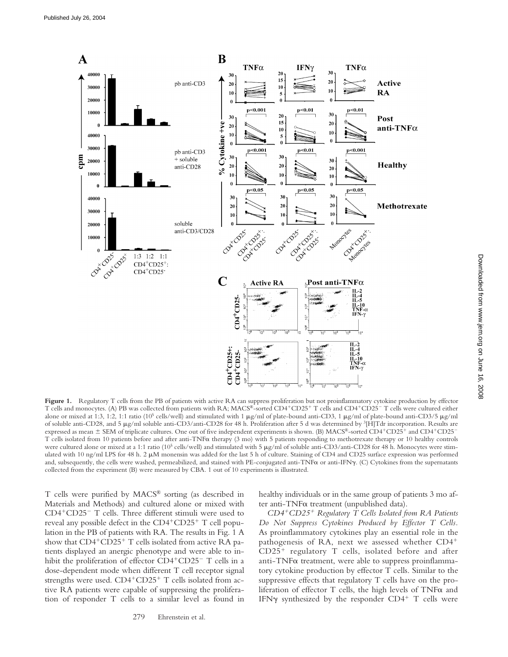

Figure 1. Regulatory T cells from the PB of patients with active RA can suppress proliferation but not proinflammatory cytokine production by effector T cells and monocytes. (A) PB was collected from patients with RA; MACS®-sorted CD4<sup>+</sup>CD25<sup>+</sup> T cells and CD4<sup>+</sup>CD25<sup>-</sup> T cells were cultured either alone or mixed at 1:3, 1:2, 1:1 ratio (10<sup>5</sup> cells/well) and stimulated with 1  $\mu$ g/ml of plate-bound anti-CD3, 1  $\mu$ g/ml of plate-bound anti-CD3/5  $\mu$ g/ml of soluble anti-CD28, and 5 g/ml soluble anti-CD3/anti-CD28 for 48 h. Proliferation after 5 d was determined by 3[H]Tdr incorporation. Results are expressed as mean  $\pm$  SEM of triplicate cultures. One out of five independent experiments is shown. (B) MACS®-sorted CD4+CD25+ and CD4+CD25-T cells isolated from 10 patients before and after anti-TNF $\alpha$  therapy (3 mo) with 5 patients responding to methotrexate therapy or 10 healthy controls were cultured alone or mixed at a 1:1 ratio (10<sup>5</sup> cells/well) and stimulated with 5 μg/ml of soluble anti-CD3/anti-CD28 for 48 h. Monocytes were stimulated with 10 ng/ml LPS for 48 h. 2  $\mu$ M monensin was added for the last 5 h of culture. Staining of CD4 and CD25 surface expression was performed and, subsequently, the cells were washed, permeabilized, and stained with PE-conjugated anti-TNF $\alpha$  or anti-IFN $\gamma$ . (C) Cytokines from the supernatants collected from the experiment (B) were measured by CBA. 1 out of 10 experiments is illustrated.

T cells were purified by MACS® sorting (as described in Materials and Methods) and cultured alone or mixed with CD4<sup>+</sup>CD25<sup>-</sup> T cells. Three different stimuli were used to reveal any possible defect in the CD4+CD25+ T cell population in the PB of patients with RA. The results in Fig. 1 A show that CD4<sup>+</sup>CD25<sup>+</sup> T cells isolated from active RA patients displayed an anergic phenotype and were able to inhibit the proliferation of effector CD4<sup>+</sup>CD25<sup>-</sup> T cells in a dose-dependent mode when different T cell receptor signal strengths were used.  $CD4+CD25+T$  cells isolated from active RA patients were capable of suppressing the proliferation of responder T cells to a similar level as found in

279 Ehrenstein et al.

healthy individuals or in the same group of patients 3 mo after anti-TNF $\alpha$  treatment (unpublished data).

*CD4*-*CD25*- *Regulatory T Cells Isolated from RA Patients Do Not Suppress Cytokines Produced by Effector T Cells.* As proinflammatory cytokines play an essential role in the pathogenesis of RA, next we assessed whether CD4- CD25- regulatory T cells, isolated before and after anti-TNF $\alpha$  treatment, were able to suppress proinflammatory cytokine production by effector T cells. Similar to the suppressive effects that regulatory T cells have on the proliferation of effector  $T$  cells, the high levels of  $TNF\alpha$  and IFN $\gamma$  synthesized by the responder CD4+ T cells were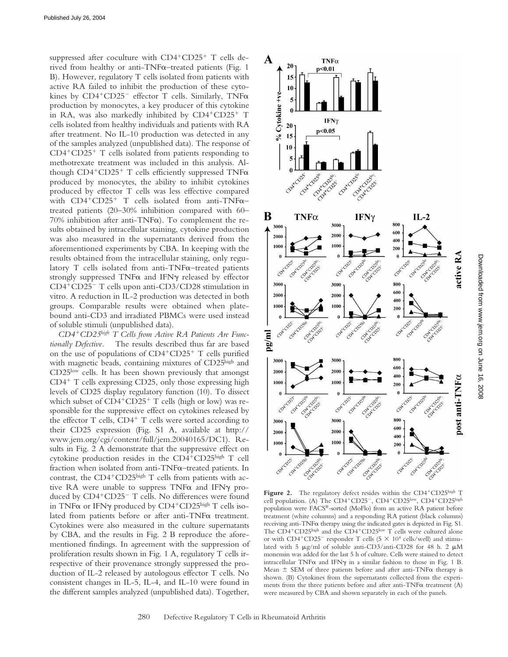suppressed after coculture with CD4<sup>+</sup>CD25<sup>+</sup> T cells derived from healthy or anti-TNF $\alpha$ –treated patients (Fig. 1 B). However, regulatory T cells isolated from patients with active RA failed to inhibit the production of these cytokines by  $CD4^+CD25^-$  effector T cells. Similarly, TNF $\alpha$ production by monocytes, a key producer of this cytokine in RA, was also markedly inhibited by CD4+CD25+ T cells isolated from healthy individuals and patients with RA after treatment. No IL-10 production was detected in any of the samples analyzed (unpublished data). The response of CD4-CD25- T cells isolated from patients responding to methotrexate treatment was included in this analysis. Although CD4+CD25+ T cells efficiently suppressed TNFa produced by monocytes, the ability to inhibit cytokines produced by effector T cells was less effective compared with  $CD4+CD25+$  T cells isolated from anti-TNF $\alpha$ treated patients (20–30% inhibition compared with 60– 70% inhibition after anti-TNF $\alpha$ ). To complement the results obtained by intracellular staining, cytokine production was also measured in the supernatants derived from the aforementioned experiments by CBA. In keeping with the results obtained from the intracellular staining, only regulatory  $T$  cells isolated from anti-TNF $\alpha$ –treated patients strongly suppressed  $TNF\alpha$  and IFN $\gamma$  released by effector CD4-CD25 T cells upon anti-CD3/CD28 stimulation in vitro. A reduction in IL-2 production was detected in both groups. Comparable results were obtained when platebound anti-CD3 and irradiated PBMCs were used instead of soluble stimuli (unpublished data).

*CD4*-*CD25high T Cells from Active RA Patients Are Functionally Defective.* The results described thus far are based on the use of populations of CD4<sup>+</sup>CD25<sup>+</sup> T cells purified with magnetic beads, containing mixtures of CD25high and CD25low cells. It has been shown previously that amongst CD4<sup>+</sup> T cells expressing CD25, only those expressing high levels of CD25 display regulatory function (10). To dissect which subset of CD4<sup>+</sup>CD25<sup>+</sup> T cells (high or low) was responsible for the suppressive effect on cytokines released by the effector T cells, CD4<sup>+</sup> T cells were sorted according to their CD25 expression (Fig. S1 A, available at http:// www.jem.org/cgi/content/full/jem.20040165/DC1). Results in Fig. 2 A demonstrate that the suppressive effect on cytokine production resides in the CD4-CD25high T cell fraction when isolated from anti-TNF $\alpha$ –treated patients. In contrast, the CD4<sup>+</sup>CD25<sup>high</sup> T cells from patients with active RA were unable to suppress  $TNF\alpha$  and IFN $\gamma$  produced by CD4+CD25<sup>-</sup> T cells. No differences were found in TNF $\alpha$  or IFN $\gamma$  produced by CD4<sup>+</sup>CD25<sup>high</sup> T cells isolated from patients before or after anti-TNF $\alpha$  treatment. Cytokines were also measured in the culture supernatants by CBA, and the results in Fig. 2 B reproduce the aforementioned findings. In agreement with the suppression of proliferation results shown in Fig. 1 A, regulatory T cells irrespective of their provenance strongly suppressed the production of IL-2 released by autologous effector T cells. No consistent changes in IL-5, IL-4, and IL-10 were found in the different samples analyzed (unpublished data). Together,



Figure 2. The regulatory defect resides within the CD4<sup>+</sup>CD25high T cell population. (A) The CD4+CD25-, CD4+CD25low, CD4+CD25high population were FACS®-sorted (MoFlo) from an active RA patient before treatment (white columns) and a responding RA patient (black columns) receiving anti-TNF $\alpha$  therapy using the indicated gates is depicted in Fig. S1. The CD4<sup>+</sup>CD25<sup>high</sup> and the CD4<sup>+</sup>CD25<sup>low</sup> T cells were cultured alone or with  $CD4^+CD25^-$  responder T cells ( $5 \times 10^4$  cells/well) and stimulated with 5  $\mu$ g/ml of soluble anti-CD3/anti-CD28 for 48 h. 2  $\mu$ M monensin was added for the last 5 h of culture. Cells were stained to detect intracellular TNF $\alpha$  and IFN $\gamma$  in a similar fashion to those in Fig. 1 B. Mean  $\pm$  SEM of three patients before and after anti-TNF $\alpha$  therapy is shown. (B) Cytokines from the supernatants collected from the experiments from the three patients before and after anti-TNF $\alpha$  treatment (A) were measured by CBA and shown separately in each of the panels.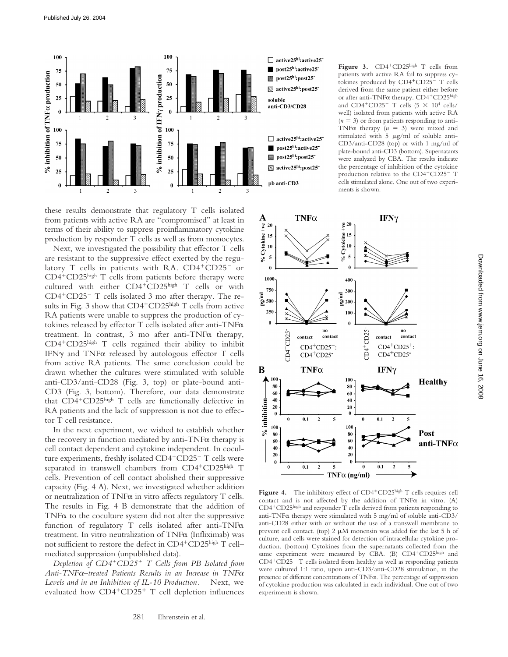

these results demonstrate that regulatory T cells isolated from patients with active RA are "compromised" at least in terms of their ability to suppress proinflammatory cytokine production by responder T cells as well as from monocytes.

Next, we investigated the possibility that effector T cells are resistant to the suppressive effect exerted by the regulatory T cells in patients with RA. CD4<sup>+</sup>CD25<sup>-</sup> or CD4-CD25high T cells from patients before therapy were cultured with either CD4+CD25high T cells or with CD4+CD25<sup>-</sup> T cells isolated 3 mo after therapy. The results in Fig. 3 show that  $CD4^+CD25^{\text{high}}$  T cells from active RA patients were unable to suppress the production of cytokines released by effector T cells isolated after anti-TNF treatment. In contrast, 3 mo after anti-TNF $\alpha$  therapy, CD4-CD25high T cells regained their ability to inhibit IFN $\gamma$  and TNF $\alpha$  released by autologous effector T cells from active RA patients. The same conclusion could be drawn whether the cultures were stimulated with soluble anti-CD3/anti-CD28 (Fig. 3, top) or plate-bound anti-CD3 (Fig. 3, bottom). Therefore, our data demonstrate that CD4<sup>+</sup>CD25high T cells are functionally defective in RA patients and the lack of suppression is not due to effector T cell resistance.

In the next experiment, we wished to establish whether the recovery in function mediated by anti-TNF $\alpha$  therapy is cell contact dependent and cytokine independent. In coculture experiments, freshly isolated CD4<sup>+</sup>CD25<sup>-</sup> T cells were separated in transwell chambers from CD4<sup>+</sup>CD25high T cells. Prevention of cell contact abolished their suppressive capacity (Fig. 4 A). Next, we investigated whether addition or neutralization of  $TNF\alpha$  in vitro affects regulatory  $T$  cells. The results in Fig. 4 B demonstrate that the addition of TNF $\alpha$  to the coculture system did not alter the suppressive function of regulatory T cells isolated after anti-TNF $\alpha$ treatment. In vitro neutralization of  $TNF\alpha$  (Infliximab) was not sufficient to restore the defect in CD4<sup>+</sup>CD25<sup>high</sup> T cell– mediated suppression (unpublished data).

*Depletion of CD4*-*CD25*- *T Cells from PB Isolated from Anti-TNF–treated Patients Results in an Increase in TNF Levels and in an Inhibition of IL-10 Production.* Next, we evaluated how CD4<sup>+</sup>CD25<sup>+</sup> T cell depletion influences

Figure 3. CD4<sup>+</sup>CD25high T cells from patients with active RA fail to suppress cytokines produced by CD4<sup>+</sup>CD25<sup>-</sup> T cells derived from the same patient either before or after anti-TNF $\alpha$  therapy. CD4+CD25high and  $CD4^+CD25^-$  T cells  $(5 \times 10^4 \text{ cells}/$ well) isolated from patients with active RA  $(n = 3)$  or from patients responding to anti-TNF $\alpha$  therapy ( $n = 3$ ) were mixed and stimulated with  $5 \mu g/ml$  of soluble anti-CD3/anti-CD28 (top) or with 1 mg/ml of plate-bound anti-CD3 (bottom). Supernatants were analyzed by CBA. The results indicate the percentage of inhibition of the cytokine production relative to the CD4+CD25- T cells stimulated alone. One out of two experiments is shown.



Figure 4. The inhibitory effect of CD4<sup>+</sup>CD25high T cells requires cell contact and is not affected by the addition of  $TNF\alpha$  in vitro. (A) CD4<sup>+</sup>CD25high and responder T cells derived from patients responding to anti-TNF $\alpha$  therapy were stimulated with 5 mg/ml of soluble anti-CD3/ anti-CD28 either with or without the use of a transwell membrane to prevent cell contact. (top)  $2 \mu M$  monensin was added for the last  $5 h$  of culture, and cells were stained for detection of intracellular cytokine production. (bottom) Cytokines from the supernatants collected from the same experiment were measured by CBA. (B) CD4<sup>+</sup>CD25high and CD4+CD25- T cells isolated from healthy as well as responding patients were cultured 1:1 ratio, upon anti-CD3/anti-CD28 stimulation, in the presence of different concentrations of  $TNF\alpha$ . The percentage of suppression of cytokine production was calculated in each individual. One out of two experiments is shown.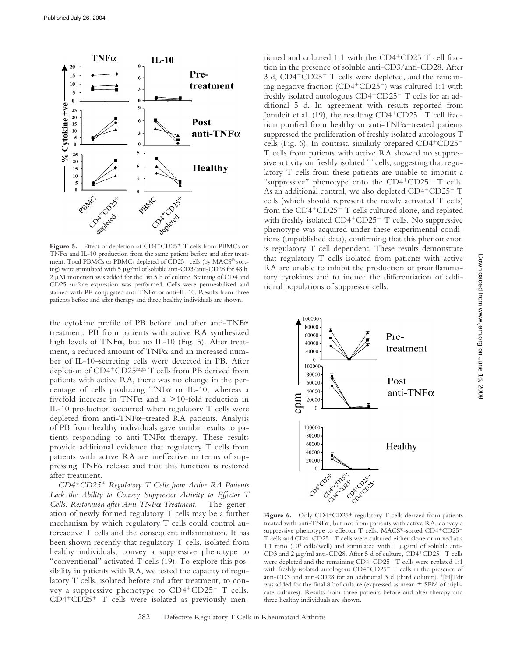

Figure 5. Effect of depletion of CD4<sup>+</sup>CD25<sup>+</sup> T cells from PBMCs on TNF $\alpha$  and IL-10 production from the same patient before and after treatment. Total PBMCs or PBMCs depleted of CD25<sup>+</sup> cells (by MACS® sorting) were stimulated with 5  $\mu$ g/ml of soluble anti-CD3/anti-CD28 for 48 h.  $2 \mu$ M monensin was added for the last 5 h of culture. Staining of CD4 and CD25 surface expression was performed. Cells were permeabilized and stained with PE-conjugated anti-TNF $\alpha$  or anti-IL-10. Results from three patients before and after therapy and three healthy individuals are shown.

the cytokine profile of PB before and after anti-TNF treatment. PB from patients with active RA synthesized high levels of TNF $\alpha$ , but no IL-10 (Fig. 5). After treatment, a reduced amount of  $TNF\alpha$  and an increased number of IL-10–secreting cells were detected in PB. After depletion of CD4<sup>+</sup>CD25high T cells from PB derived from patients with active RA, there was no change in the percentage of cells producing  $TNF\alpha$  or IL-10, whereas a fivefold increase in TNF $\alpha$  and a >10-fold reduction in IL-10 production occurred when regulatory T cells were depleted from anti-TNF $\alpha$ -treated RA patients. Analysis of PB from healthy individuals gave similar results to patients responding to anti-TNF $\alpha$  therapy. These results provide additional evidence that regulatory T cells from patients with active RA are ineffective in terms of suppressing  $TNF\alpha$  release and that this function is restored after treatment.

*CD4*-*CD25*- *Regulatory T Cells from Active RA Patients Lack the Ability to Convey Suppressor Activity to Effector T Cells: Restoration after Anti-TNF* $\alpha$  Treatment. The generation of newly formed regulatory T cells may be a further mechanism by which regulatory T cells could control autoreactive T cells and the consequent inflammation. It has been shown recently that regulatory T cells, isolated from healthy individuals, convey a suppressive phenotype to "conventional" activated T cells (19). To explore this possibility in patients with RA, we tested the capacity of regulatory T cells, isolated before and after treatment, to convey a suppressive phenotype to CD4+CD25- T cells. CD4+CD25+ T cells were isolated as previously men-

tioned and cultured 1:1 with the CD4<sup>+</sup>CD25 T cell fraction in the presence of soluble anti-CD3/anti-CD28. After 3 d, CD4<sup>+</sup>CD25<sup>+</sup> T cells were depleted, and the remaining negative fraction (CD4+CD25<sup>-</sup>) was cultured 1:1 with freshly isolated autologous CD4<sup>+</sup>CD25<sup>-</sup> T cells for an additional 5 d. In agreement with results reported from Jonuleit et al. (19), the resulting CD4<sup>+</sup>CD25<sup>-</sup> T cell fraction purified from healthy or anti-TNF $\alpha$ –treated patients suppressed the proliferation of freshly isolated autologous T cells (Fig. 6). In contrast, similarly prepared CD4+CD25-T cells from patients with active RA showed no suppressive activity on freshly isolated T cells, suggesting that regulatory T cells from these patients are unable to imprint a "suppressive" phenotype onto the CD4+CD25- T cells. As an additional control, we also depleted CD4+CD25+ T cells (which should represent the newly activated T cells) from the CD4<sup>+</sup>CD25<sup>-</sup> T cells cultured alone, and replated with freshly isolated CD4<sup>+</sup>CD25<sup>-</sup> T cells. No suppressive phenotype was acquired under these experimental conditions (unpublished data), confirming that this phenomenon is regulatory T cell dependent. These results demonstrate that regulatory T cells isolated from patients with active RA are unable to inhibit the production of proinflammatory cytokines and to induce the differentiation of additional populations of suppressor cells.



Figure 6. Only CD4<sup>+</sup>CD25<sup>+</sup> regulatory T cells derived from patients treated with anti-TNF $\alpha$ , but not from patients with active RA, convey a suppressive phenotype to effector T cells. MACS®-sorted CD4+CD25+ T cells and CD4<sup>+</sup>CD25<sup>-</sup> T cells were cultured either alone or mixed at a 1:1 ratio ( $10^5$  cells/well) and stimulated with 1  $\mu$ g/ml of soluble anti-CD3 and 2 µg/ml anti-CD28. After 5 d of culture, CD4+CD25+ T cells were depleted and the remaining CD4+CD25<sup>-</sup> T cells were replated 1:1 with freshly isolated autologous CD4+CD25<sup>-</sup> T cells in the presence of anti-CD3 and anti-CD28 for an additional 3 d (third column). 3[H]Tdr was added for the final 8 hof culture (expressed as mean  $\pm$  SEM of triplicate cultures). Results from three patients before and after therapy and three healthy individuals are shown.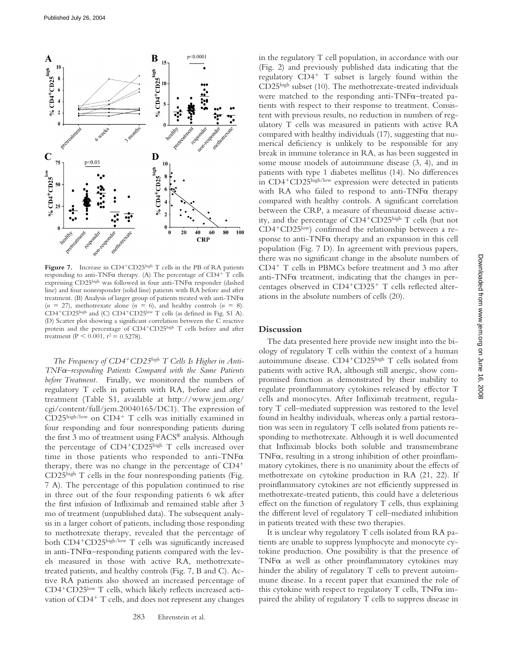

Figure 7. Increase in CD4<sup>+</sup>CD25high T cells in the PB of RA patients responding to anti-TNF $\alpha$  therapy. (A) The percentage of CD4<sup>+</sup> T cells expressing  $CD25<sup>high</sup>$  was followed in four anti-TNF $\alpha$  responder (dashed line) and four nonresponder (solid line) patients with RA before and after treatment. (B) Analysis of larger group of patients treated with anti-TNF  $(n = 27)$ , methotrexate alone  $(n = 6)$ , and healthy controls  $(n = 8)$ . CD4<sup>+</sup>CD25high and (C) CD4<sup>+</sup>CD25low T cells (as defined in Fig. S1 A). (D) Scatter plot showing a significant correlation between the C reactive protein and the percentage of CD4<sup>+</sup>CD25high T cells before and after treatment (P < 0.001,  $r^2 = 0.5278$ ).

The Frequency of CD4<sup>+</sup>CD25<sup>high</sup> T Cells Is Higher in Anti-*TNF–responding Patients Compared with the Same Patients before Treatment.* Finally, we monitored the numbers of regulatory T cells in patients with RA, before and after treatment (Table S1, available at http://www.jem.org/ cgi/content/full/jem.20040165/DC1). The expression of CD25high/low on CD4<sup>+</sup> T cells was initially examined in four responding and four nonresponding patients during the first 3 mo of treatment using FACS® analysis. Although the percentage of CD4<sup>+</sup>CD25high T cells increased over time in those patients who responded to anti-TNF $\alpha$ therapy, there was no change in the percentage of CD4- CD25high T cells in the four nonresponding patients (Fig. 7 A). The percentage of this population continued to rise in three out of the four responding patients 6 wk after the first infusion of Infliximab and remained stable after 3 mo of treatment (unpublished data). The subsequent analysis in a larger cohort of patients, including those responding to methotrexate therapy, revealed that the percentage of both CD4<sup>+</sup>CD25<sup>high/low</sup> T cells was significantly increased in anti-TNF $\alpha$ –responding patients compared with the levels measured in those with active RA, methotrexatetreated patients, and healthy controls (Fig. 7, B and C). Active RA patients also showed an increased percentage of CD4<sup>+</sup>CD25<sup>low</sup> T cells, which likely reflects increased activation of CD4<sup>+</sup> T cells, and does not represent any changes

in the regulatory T cell population, in accordance with our (Fig. 2) and previously published data indicating that the regulatory CD4- T subset is largely found within the CD25high subset (10). The methotrexate-treated individuals were matched to the responding anti-TNF $\alpha$ –treated patients with respect to their response to treatment. Consistent with previous results, no reduction in numbers of regulatory T cells was measured in patients with active RA compared with healthy individuals (17), suggesting that numerical deficiency is unlikely to be responsible for any break in immune tolerance in RA, as has been suggested in some mouse models of autoimmune disease (3, 4), and in patients with type 1 diabetes mellitus (14). No differences in CD4<sup>+</sup>CD25high/low expression were detected in patients with RA who failed to respond to anti-TNF $\alpha$  therapy compared with healthy controls. A significant correlation between the CRP, a measure of rheumatoid disease activity, and the percentage of CD4-CD25high T cells (but not CD4<sup>+</sup>CD25<sup>low</sup>) confirmed the relationship between a response to anti-TNF $\alpha$  therapy and an expansion in this cell population (Fig. 7 D). In agreement with previous papers, there was no significant change in the absolute numbers of CD4- T cells in PBMCs before treatment and 3 mo after anti-TNF $\alpha$  treatment, indicating that the changes in percentages observed in CD4+CD25+ T cells reflected alterations in the absolute numbers of cells (20).

# **Discussion**

The data presented here provide new insight into the biology of regulatory T cells within the context of a human autoimmune disease. CD4<sup>+</sup>CD25high T cells isolated from patients with active RA, although still anergic, show compromised function as demonstrated by their inability to regulate proinflammatory cytokines released by effector T cells and monocytes. After Infliximab treatment, regulatory T cell–mediated suppression was restored to the level found in healthy individuals, whereas only a partial restoration was seen in regulatory T cells isolated from patients responding to methotrexate. Although it is well documented that Infliximab blocks both soluble and transmembrane TNF $\alpha$ , resulting in a strong inhibition of other proinflammatory cytokines, there is no unanimity about the effects of methotrexate on cytokine production in RA (21, 22). If proinflammatory cytokines are not efficiently suppressed in methotrexate-treated patients, this could have a deleterious effect on the function of regulatory T cells, thus explaining the different level of regulatory T cell–mediated inhibition in patients treated with these two therapies.

It is unclear why regulatory T cells isolated from RA patients are unable to suppress lymphocyte and monocyte cytokine production. One possibility is that the presence of TNF $\alpha$  as well as other proinflammatory cytokines may hinder the ability of regulatory T cells to prevent autoimmune disease. In a recent paper that examined the role of this cytokine with respect to regulatory  $T$  cells,  $TNF\alpha$  impaired the ability of regulatory T cells to suppress disease in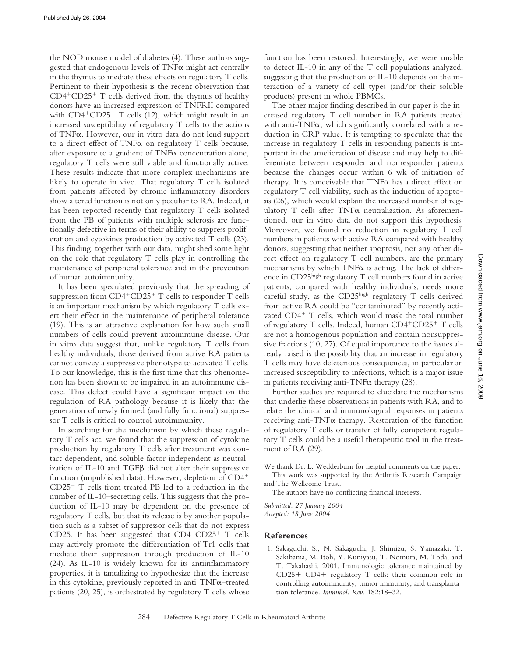the NOD mouse model of diabetes (4). These authors suggested that endogenous levels of  $TNF\alpha$  might act centrally in the thymus to mediate these effects on regulatory T cells. Pertinent to their hypothesis is the recent observation that CD4-CD25- T cells derived from the thymus of healthy donors have an increased expression of TNFRII compared with CD4<sup>+</sup>CD25<sup>-</sup> T cells (12), which might result in an increased susceptibility of regulatory T cells to the actions of TNF $\alpha$ . However, our in vitro data do not lend support to a direct effect of  $TNF\alpha$  on regulatory  $T$  cells because, after exposure to a gradient of  $TNF\alpha$  concentration alone, regulatory T cells were still viable and functionally active. These results indicate that more complex mechanisms are likely to operate in vivo. That regulatory T cells isolated from patients affected by chronic inflammatory disorders show altered function is not only peculiar to RA. Indeed, it has been reported recently that regulatory T cells isolated from the PB of patients with multiple sclerosis are functionally defective in terms of their ability to suppress proliferation and cytokines production by activated T cells (23). This finding, together with our data, might shed some light on the role that regulatory T cells play in controlling the maintenance of peripheral tolerance and in the prevention of human autoimmunity.

It has been speculated previously that the spreading of suppression from CD4<sup>+</sup>CD25<sup>+</sup> T cells to responder T cells is an important mechanism by which regulatory T cells exert their effect in the maintenance of peripheral tolerance (19). This is an attractive explanation for how such small numbers of cells could prevent autoimmune disease. Our in vitro data suggest that, unlike regulatory T cells from healthy individuals, those derived from active RA patients cannot convey a suppressive phenotype to activated T cells. To our knowledge, this is the first time that this phenomenon has been shown to be impaired in an autoimmune disease. This defect could have a significant impact on the regulation of RA pathology because it is likely that the generation of newly formed (and fully functional) suppressor T cells is critical to control autoimmunity.

In searching for the mechanism by which these regulatory T cells act, we found that the suppression of cytokine production by regulatory T cells after treatment was contact dependent, and soluble factor independent as neutralization of IL-10 and  $TGF\beta$  did not alter their suppressive function (unpublished data). However, depletion of CD4<sup>+</sup> CD25- T cells from treated PB led to a reduction in the number of IL-10–secreting cells. This suggests that the production of IL-10 may be dependent on the presence of regulatory T cells, but that its release is by another population such as a subset of suppressor cells that do not express CD25. It has been suggested that  $CD4+CD25+$  T cells may actively promote the differentiation of Tr1 cells that mediate their suppression through production of IL-10 (24). As IL-10 is widely known for its antiinflammatory properties, it is tantalizing to hypothesize that the increase in this cytokine, previously reported in anti- $TNF\alpha$ –treated patients (20, 25), is orchestrated by regulatory T cells whose

function has been restored. Interestingly, we were unable to detect IL-10 in any of the T cell populations analyzed, suggesting that the production of IL-10 depends on the interaction of a variety of cell types (and/or their soluble products) present in whole PBMCs.

The other major finding described in our paper is the increased regulatory T cell number in RA patients treated with anti-TNF $\alpha$ , which significantly correlated with a reduction in CRP value. It is tempting to speculate that the increase in regulatory T cells in responding patients is important in the amelioration of disease and may help to differentiate between responder and nonresponder patients because the changes occur within 6 wk of initiation of therapy. It is conceivable that  $TNF\alpha$  has a direct effect on regulatory T cell viability, such as the induction of apoptosis (26), which would explain the increased number of regulatory  $T$  cells after  $TNF\alpha$  neutralization. As aforementioned, our in vitro data do not support this hypothesis. Moreover, we found no reduction in regulatory T cell numbers in patients with active RA compared with healthy donors, suggesting that neither apoptosis, nor any other direct effect on regulatory T cell numbers, are the primary mechanisms by which  $TNF\alpha$  is acting. The lack of difference in CD25high regulatory T cell numbers found in active patients, compared with healthy individuals, needs more careful study, as the CD25high regulatory T cells derived from active RA could be "contaminated" by recently activated CD4<sup>+</sup> T cells, which would mask the total number of regulatory T cells. Indeed, human CD4+CD25+ T cells are not a homogenous population and contain nonsuppressive fractions (10, 27). Of equal importance to the issues already raised is the possibility that an increase in regulatory T cells may have deleterious consequences, in particular an increased susceptibility to infections, which is a major issue in patients receiving anti-TNF $\alpha$  therapy (28).

Further studies are required to elucidate the mechanisms that underlie these observations in patients with RA, and to relate the clinical and immunological responses in patients receiving anti-TNF $\alpha$  therapy. Restoration of the function of regulatory T cells or transfer of fully competent regulatory T cells could be a useful therapeutic tool in the treatment of RA (29).

We thank Dr. L. Wedderburn for helpful comments on the paper. This work was supported by the Arthritis Research Campaign

and The Wellcome Trust. The authors have no conflicting financial interests.

*Submitted: 27 January 2004 Accepted: 18 June 2004*

### **References**

1. Sakaguchi, S., N. Sakaguchi, J. Shimizu, S. Yamazaki, T. Sakihama, M. Itoh, Y. Kuniyasu, T. Nomura, M. Toda, and T. Takahashi. 2001. Immunologic tolerance maintained by CD25+ CD4+ regulatory T cells: their common role in controlling autoimmunity, tumor immunity, and transplantation tolerance. *Immunol. Rev.* 182:18–32.